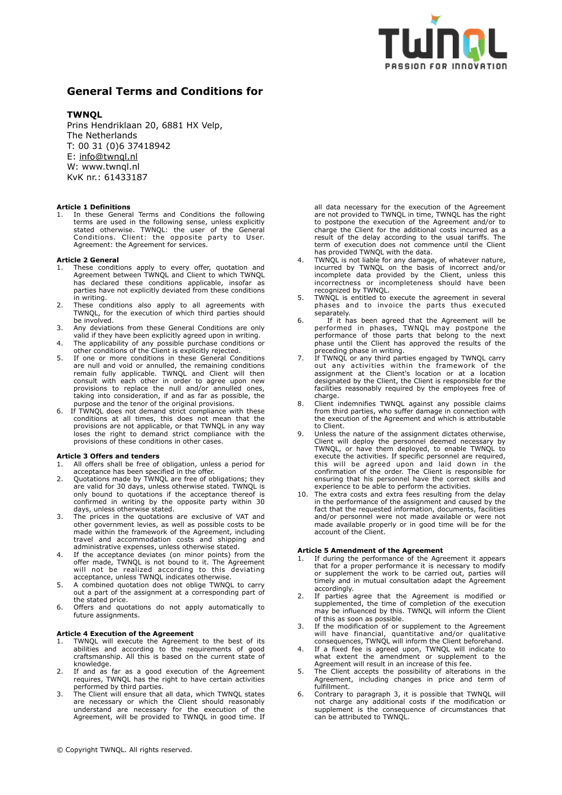

# **General Terms and Conditions for**

## **TWNQL**

Prins Hendriklaan 20, 6881 HX Velp, The Netherlands T: 00 31 (0)6 37418942 E: [info@twnql.nl](mailto:info@twnql.nl)  W: www.twnql.nl KvK nr.: 61433187

## **Article 1 Definitions**

In these General Terms and Conditions the following terms are used in the following sense, unless explicitly stated otherwise. TWNQL: the user of the General Conditions. Client: the opposite party to User. Agreement: the Agreement for services.

## **Article 2 General**

- These conditions apply to every offer, quotation and Agreement between TWNQL and Client to which TWNQL has declared these conditions applicable, insofar as parties have not explicitly deviated from these conditions in writing.
- 2. These conditions also apply to all agreements with TWNQL, for the execution of which third parties should be involved.
- 3. Any deviations from these General Conditions are only valid if they have been explicitly agreed upon in writing.
- 4. The applicability of any possible purchase conditions or other conditions of the Client is explicitly rejected.
- 5. If one or more conditions in these General Conditions are null and void or annulled, the remaining conditions remain fully applicable. TWNQL and Client will then consult with each other in order to agree upon new provisions to replace the null and/or annulled ones, taking into consideration, if and as far as possible, the purpose and the tenor of the original provisions.
- 6. If TWNQL does not demand strict compliance with these conditions at all times, this does not mean that the provisions are not applicable, or that TWNQL in any way loses the right to demand strict compliance with the provisions of these conditions in other cases.

#### **Article 3 Offers and tenders**

- 1. All offers shall be free of obligation, unless a period for acceptance has been specified in the offer.
- 2. Quotations made by TWNQL are free of obligations; they are valid for 30 days, unless otherwise stated. TWNQL is only bound to quotations if the acceptance thereof is confirmed in writing by the opposite party within 30 days, unless otherwise stated.
- 3. The prices in the quotations are exclusive of VAT and other government levies, as well as possible costs to be made within the framework of the Agreement, including travel and accommodation costs and shipping and administrative expenses, unless otherwise stated.
- 4. If the acceptance deviates (on minor points) from the offer made, TWNQL is not bound to it. The Agreement will not be realized according to this deviating acceptance, unless TWNQL indicates otherwise.
- 5. A combined quotation does not oblige TWNQL to carry out a part of the assignment at a corresponding part of the stated price.
- 6. Offers and quotations do not apply automatically to future assignments.

## **Article 4 Execution of the Agreement**

- 1. TWNQL will execute the Agreement to the best of its abilities and according to the requirements of good craftsmanship. All this is based on the current state of knowledge.
- 2. If and as far as a good execution of the Agreement requires, TWNQL has the right to have certain activities performed by third parties.
- 3. The Client will ensure that all data, which TWNQL states are necessary or which the Client should reasonably understand are necessary for the execution of the Agreement, will be provided to TWNQL in good time. If

all data necessary for the execution of the Agreement are not provided to TWNQL in time, TWNQL has the right to postpone the execution of the Agreement and/or to charge the Client for the additional costs incurred as a result of the delay according to the usual tariffs. The term of execution does not commence until the Client has provided TWNQL with the data.

- 4. TWNQL is not liable for any damage, of whatever nature, incurred by TWNQL on the basis of incorrect and/or incomplete data provided by the Client, unless this incorrectness or incompleteness should have been recognized by TWNQL.
- 5. TWNQL is entitled to execute the agreement in several phases and to invoice the parts thus executed separately.
- 6. If it has been agreed that the Agreement will be performed in phases, TWNQL may postpone the performance of those parts that belong to the next phase until the Client has approved the results of the preceding phase in writing.
- 7. If TWNQL or any third parties engaged by TWNQL carry out any activities within the framework of the assignment at the Client's location or at a location designated by the Client, the Client is responsible for the facilities reasonably required by the employees free of charge.
- 8. Client indemnifies TWNQL against any possible claims from third parties, who suffer damage in connection with the execution of the Agreement and which is attributable to Client.
- 9. Unless the nature of the assignment dictates otherwise, Client will deploy the personnel deemed necessary by TWNQL, or have them deployed, to enable TWNQL to execute the activities. If specific personnel are required, this will be agreed upon and laid down in the confirmation of the order. The Client is responsible for ensuring that his personnel have the correct skills and experience to be able to perform the activities.
- 10. The extra costs and extra fees resulting from the delay in the performance of the assignment and caused by the fact that the requested information, documents, facilities and/or personnel were not made available or were not made available properly or in good time will be for the account of the Client.

## **Article 5 Amendment of the Agreement**

- If during the performance of the Agreement it appears that for a proper performance it is necessary to modify or supplement the work to be carried out, parties will timely and in mutual consultation adapt the Agreement accordingly.
- 2. If parties agree that the Agreement is modified or supplemented, the time of completion of the execution may be influenced by this. TWNQL will inform the Client of this as soon as possible.
- 3. If the modification of or supplement to the Agreement will have financial, quantitative and/or qualitative consequences, TWNQL will inform the Client beforehand.
- 4. If a fixed fee is agreed upon, TWNQL will indicate to what extent the amendment or supplement to the Agreement will result in an increase of this fee.
- 5. The Client accepts the possibility of alterations in the Agreement, including changes in price and term of fulfillment.
- 6. Contrary to paragraph 3, it is possible that TWNQL will not charge any additional costs if the modification or supplement is the consequence of circumstances that can be attributed to TWNQL.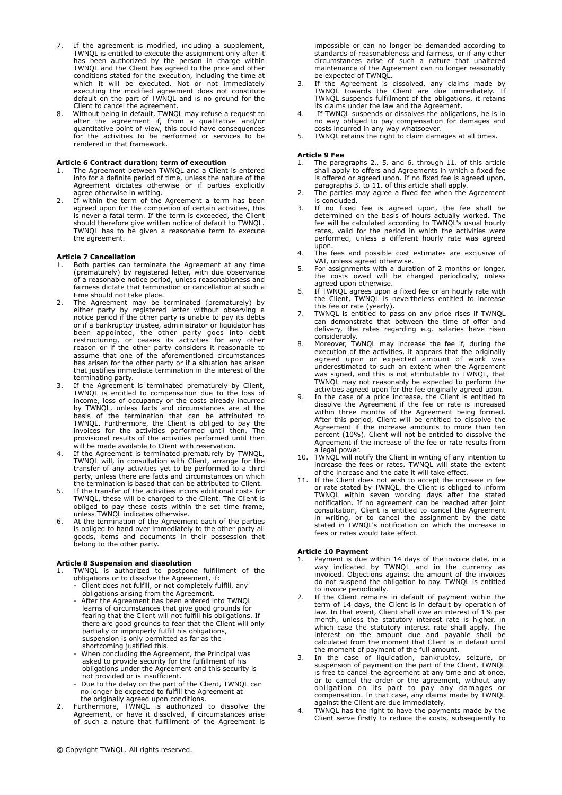- 7. If the agreement is modified, including a supplement, TWNQL is entitled to execute the assignment only after it has been authorized by the person in charge within TWNQL and the Client has agreed to the price and other conditions stated for the execution, including the time at which it will be executed. Not or not immediately executing the modified agreement does not constitute default on the part of TWNQL and is no ground for the Client to cancel the agreement.
- 8. Without being in default, TWNQL may refuse a request to alter the agreement if, from a qualitative and/or quantitative point of view, this could have consequences for the activities to be performed or services to be rendered in that framework.

## **Article 6 Contract duration; term of execution**

- 1. The Agreement between TWNQL and a Client is entered into for a definite period of time, unless the nature of the Agreement dictates otherwise or if parties explicitly agree otherwise in writing.
- 2. If within the term of the Agreement a term has been agreed upon for the completion of certain activities, this is never a fatal term. If the term is exceeded, the Client should therefore give written notice of default to TWNQL. TWNQL has to be given a reasonable term to execute the agreement.

## **Article 7 Cancellation**

- Both parties can terminate the Agreement at any time (prematurely) by registered letter, with due observance of a reasonable notice period, unless reasonableness and fairness dictate that termination or cancellation at such a time should not take place.
- 2. The Agreement may be terminated (prematurely) by either party by registered letter without observing a notice period if the other party is unable to pay its debts or if a bankruptcy trustee, administrator or liquidator has been appointed, the other party goes into debt restructuring, or ceases its activities for any other reason or if the other party considers it reasonable to assume that one of the aforementioned circumstances has arisen for the other party or if a situation has arisen that justifies immediate termination in the interest of the terminating party.
- 3. If the Agreement is terminated prematurely by Client, TWNQL is entitled to compensation due to the loss of income, loss of occupancy or the costs already incurred by TWNQL, unless facts and circumstances are at the basis of the termination that can be attributed to TWNQL. Furthermore, the Client is obliged to pay the invoices for the activities performed until then. The provisional results of the activities performed until then will be made available to Client with reservation.
- 4. If the Agreement is terminated prematurely by TWNQL, TWNQL will, in consultation with Client, arrange for the transfer of any activities yet to be performed to a third party, unless there are facts and circumstances on which the termination is based that can be attributed to Client.
- 5. If the transfer of the activities incurs additional costs for TWNQL, these will be charged to the Client. The Client is obliged to pay these costs within the set time frame, unless TWNQL indicates otherwise.
- 6. At the termination of the Agreement each of the parties is obliged to hand over immediately to the other party all goods, items and documents in their possession that belong to the other party.

## **Article 8 Suspension and dissolution**

- 1. TWNQL is authorized to postpone fulfillment of the obligations or to dissolve the Agreement, if:
	- Client does not fulfill, or not completely fulfill, any obligations arising from the Agreement.
- After the Agreement has been entered into TWNQL learns of circumstances that give good grounds for fearing that the Client will not fulfill his obligations. If there are good grounds to fear that the Client will only partially or improperly fulfill his obligations, suspension is only permitted as far as the shortcoming justified this.
- When concluding the Agreement, the Principal was asked to provide security for the fulfillment of his obligations under the Agreement and this security is not provided or is insufficient.
	- Due to the delay on the part of the Client, TWNQL can no longer be expected to fulfill the Agreement at the originally agreed upon conditions.
- 2. Furthermore, TWNQL is authorized to dissolve the Agreement, or have it dissolved, if circumstances arise of such a nature that fulfillment of the Agreement is

impossible or can no longer be demanded according to standards of reasonableness and fairness, or if any other circumstances arise of such a nature that unaltered maintenance of the Agreement can no longer reasonably be expected of TWNQL.

- 3. If the Agreement is dissolved, any claims made by TWNQL towards the Client are due immediately. If TWNQL suspends fulfillment of the obligations, it retains its claims under the law and the Agreement.
- If TWNQL suspends or dissolves the obligations, he is in no way obliged to pay compensation for damages and costs incurred in any way whatsoever.
- 5. TWNQL retains the right to claim damages at all times.

## **Article 9 Fee**

- 1. The paragraphs 2., 5. and 6. through 11. of this article shall apply to offers and Agreements in which a fixed fee is offered or agreed upon. If no fixed fee is agreed upon, paragraphs 3. to 11. of this article shall apply.
- 2. The parties may agree a fixed fee when the Agreement is concluded.
- 3. If no fixed fee is agreed upon, the fee shall be determined on the basis of hours actually worked. The fee will be calculated according to TWNQL's usual hourly rates, valid for the period in which the activities were performed, unless a different hourly rate was agreed upon.
- 4. The fees and possible cost estimates are exclusive of VAT, unless agreed otherwise.
- 5. For assignments with a duration of 2 months or longer, the costs owed will be charged periodically, unless agreed upon otherwise.
- 6. If TWNQL agrees upon a fixed fee or an hourly rate with the Client, TWNQL is nevertheless entitled to increase this fee or rate (yearly).
- 7. TWNQL is entitled to pass on any price rises if TWNQL can demonstrate that between the time of offer and delivery, the rates regarding e.g. salaries have risen considerably.
- 8. Moreover, TWNQL may increase the fee if, during the execution of the activities, it appears that the originally agreed upon or expected amount of work was underestimated to such an extent when the Agreement was signed, and this is not attributable to TWNQL, that TWNQL may not reasonably be expected to perform the activities agreed upon for the fee originally agreed upon.
- In the case of a price increase, the Client is entitled to dissolve the Agreement if the fee or rate is increased within three months of the Agreement being formed. After this period, Client will be entitled to dissolve the Agreement if the increase amounts to more than ten percent (10%). Client will not be entitled to dissolve the Agreement if the increase of the fee or rate results from a legal power.
- 10. TWNQL will notify the Client in writing of any intention to increase the fees or rates. TWNQL will state the extent of the increase and the date it will take effect.
- 11. If the Client does not wish to accept the increase in fee or rate stated by TWNQL, the Client is obliged to inform TWNQL within seven working days after the stated notification. If no agreement can be reached after joint consultation, Client is entitled to cancel the Agreement in writing, or to cancel the assignment by the date stated in TWNQL's notification on which the increase in fees or rates would take effect.

## **Article 10 Payment**

- 1. Payment is due within 14 days of the invoice date, in a way indicated by TWNQL and in the currency as invoiced. Objections against the amount of the invoices do not suspend the obligation to pay. TWNQL is entitled to invoice periodically.
- 2. If the Client remains in default of payment within the term of 14 days, the Client is in default by operation of law. In that event, Client shall owe an interest of 1% per month, unless the statutory interest rate is higher, in which case the statutory interest rate shall apply. The interest on the amount due and payable shall be calculated from the moment that Client is in default until the moment of payment of the full amount.
- 3. In the case of liquidation, bankruptcy, seizure, or suspension of payment on the part of the Client, TWNQL is free to cancel the agreement at any time and at once, or to cancel the order or the agreement, without any obligation on its part to pay any damages or compensation. In that case, any claims made by TWNQL against the Client are due immediately.
- 4. TWNQL has the right to have the payments made by the Client serve firstly to reduce the costs, subsequently to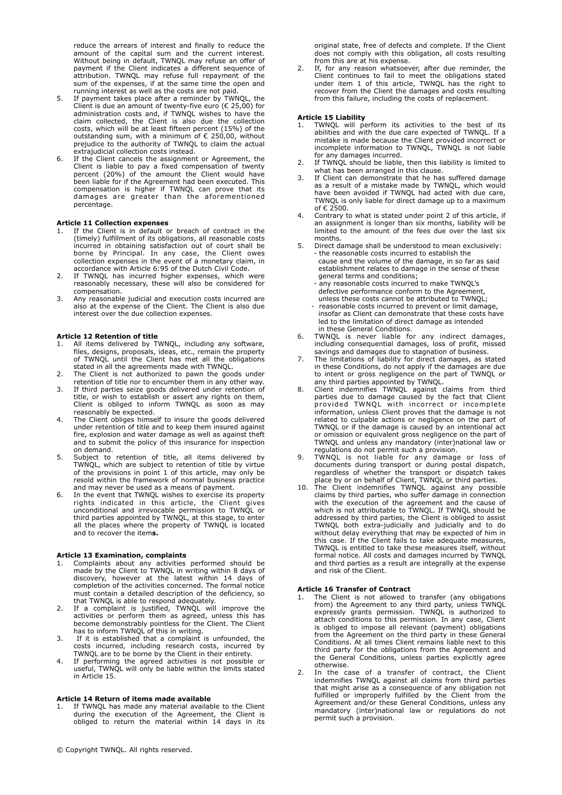reduce the arrears of interest and finally to reduce the amount of the capital sum and the current interest. Without being in default, TWNQL may refuse an offer of payment if the Client indicates a different sequence of attribution. TWNQL may refuse full repayment of the sum of the expenses, if at the same time the open and running interest as well as the costs are not paid.

- 5. If payment takes place after a reminder by TWNQL, the Client is due an amount of twenty-five euro (€ 25,00) for administration costs and, if TWNQL wishes to have the claim collected, the Client is also due the collection costs, which will be at least fifteen percent (15%) of the outstanding sum, with a minimum of  $\epsilon$  250,00, without prejudice to the authority of TWNQL to claim the actual extrajudicial collection costs instead.
- If the Client cancels the assignment or Agreement, the Client is liable to pay a fixed compensation of twenty percent (20%) of the amount the Client would have been liable for if the Agreement had been executed. This compensation is higher if TWNQL can prove that its damages are greater than the aforementioned percentage.

## **Article 11 Collection expenses**

- If the Client is in default or breach of contract in the (timely) fulfillment of its obligations, all reasonable costs incurred in obtaining satisfaction out of court shall be borne by Principal. In any case, the Client owes collection expenses in the event of a monetary claim, in accordance with Article 6:95 of the Dutch Civil Code.
- 2. If TWNQL has incurred higher expenses, which were reasonably necessary, these will also be considered for compensation.
- 3. Any reasonable judicial and execution costs incurred are also at the expense of the Client. The Client is also due interest over the due collection expenses.

## **Article 12 Retention of title**

- All items delivered by TWNQL, including any software, files, designs, proposals, ideas, etc., remain the property of TWNQL until the Client has met all the obligations stated in all the agreements made with TWNQL.
- 2. The Client is not authorized to pawn the goods under retention of title nor to encumber them in any other way.
- 3. If third parties seize goods delivered under retention of title, or wish to establish or assert any rights on them, Client is obliged to inform TWNQL as soon as may reasonably be expected.
- 4. The Client obliges himself to insure the goods delivered under retention of title and to keep them insured against fire, explosion and water damage as well as against theft and to submit the policy of this insurance for inspection on demand.
- 5. Subject to retention of title, all items delivered by TWNQL, which are subject to retention of title by virtue of the provisions in point 1 of this article, may only be resold within the framework of normal business practice and may never be used as a means of payment.
- In the event that TWNQL wishes to exercise its property rights indicated in this article, the Client gives unconditional and irrevocable permission to TWNQL or third parties appointed by TWNQL, at this stage, to enter all the places where the property of TWNQL is located and to recover the item**s.**

#### **Article 13 Examination, complaints**

- 1. Complaints about any activities performed should be made by the Client to TWNQL in writing within 8 days of discovery, however at the latest within 14 days of completion of the activities concerned. The formal notice must contain a detailed description of the deficiency, so that TWNQL is able to respond adequately.
- 2. If a complaint is justified, TWNQL will improve the activities or perform them as agreed, unless this has become demonstrably pointless for the Client. The Client has to inform TWNQL of this in writing.
- 3. If it is established that a complaint is unfounded, the costs incurred, including research costs, incurred by TWNQL are to be borne by the Client in their entirety.
- 4. If performing the agreed activities is not possible or useful, TWNQL will only be liable within the limits stated in Article 15.

#### **Article 14 Return of items made available**

1. If TWNQL has made any material available to the Client during the execution of the Agreement, the Client is obliged to return the material within 14 days in its original state, free of defects and complete. If the Client does not comply with this obligation, all costs resulting from this are at his expense.

If, for any reason whatsoever, after due reminder, the Client continues to fail to meet the obligations stated under item 1 of this article, TWNQL has the right to recover from the Client the damages and costs resulting from this failure, including the costs of replacement.

## **Article 15 Liability**

- TWNQL will perform its activities to the best of its abilities and with the due care expected of TWNQL. If a mistake is made because the Client provided incorrect or incomplete information to TWNQL, TWNQL is not liable for any damages incurred.
- 2. If TWNQL should be liable, then this liability is limited to what has been arranged in this clause.
- 3. If Client can demonstrate that he has suffered damage as a result of a mistake made by TWNQL, which would have been avoided if TWNQL had acted with due care, TWNQL is only liable for direct damage up to a maximum of  $\epsilon$  2500.
- 4. Contrary to what is stated under point 2 of this article, if an assignment is longer than six months, liability will be limited to the amount of the fees due over the last six months.
- 5. Direct damage shall be understood to mean exclusively: - the reasonable costs incurred to establish the
	- cause and the volume of the damage, in so far as said establishment relates to damage in the sense of these general terms and conditions;
	- any reasonable costs incurred to make TWNQL's defective performance conform to the Agreement unless these costs cannot be attributed to TWNQL;
- reasonable costs incurred to prevent or limit damage, insofar as Client can demonstrate that these costs have led to the limitation of direct damage as intended in these General Conditions.<br>6. TWNOL is never liable fo
- TWNQL is never liable for any indirect damages, including consequential damages, loss of profit, missed savings and damages due to stagnation of business.
- 7. The limitations of liability for direct damages, as stated in these Conditions, do not apply if the damages are due to intent or gross negligence on the part of TWNQL or any third parties appointed by TWNQL.
- 8. Client indemnifies TWNQL against claims from third parties due to damage caused by the fact that Client provided TWNQL with incorrect or incomplete information, unless Client proves that the damage is not related to culpable actions or negligence on the part of TWNQL or if the damage is caused by an intentional act or omission or equivalent gross negligence on the part of TWNQL and unless any mandatory (inter)national law or regulations do not permit such a provision.
- 9. TWNQL is not liable for any damage or loss of documents during transport or during postal dispatch, regardless of whether the transport or dispatch takes place by or on behalf of Client, TWNQL or third parties.
- 10. The Client indemnifies TWNQL against any possible claims by third parties, who suffer damage in connection with the execution of the agreement and the cause of which is not attributable to TWNQL. If TWNQL should be addressed by third parties, the Client is obliged to assist TWNQL both extra-judicially and judicially and to do without delay everything that may be expected of him in this case. If the Client fails to take adequate measures, TWNQL is entitled to take these measures itself, without formal notice. All costs and damages incurred by TWNQL and third parties as a result are integrally at the expense and risk of the Client.

## **Article 16 Transfer of Contract**

- The Client is not allowed to transfer (any obligations from) the Agreement to any third party, unless TWNQL expressly grants permission. TWNQL is authorized to attach conditions to this permission. In any case, Client is obliged to impose all relevant (payment) obligations from the Agreement on the third party in these General Conditions. At all times Client remains liable next to this third party for the obligations from the Agreement and the General Conditions, unless parties explicitly agree otherwise.
- 2. In the case of a transfer of contract, the Client indemnifies TWNQL against all claims from third parties that might arise as a consequence of any obligation not fulfilled or improperly fulfilled by the Client from the Agreement and/or these General Conditions, unless any mandatory (inter)national law or regulations do not permit such a provision.